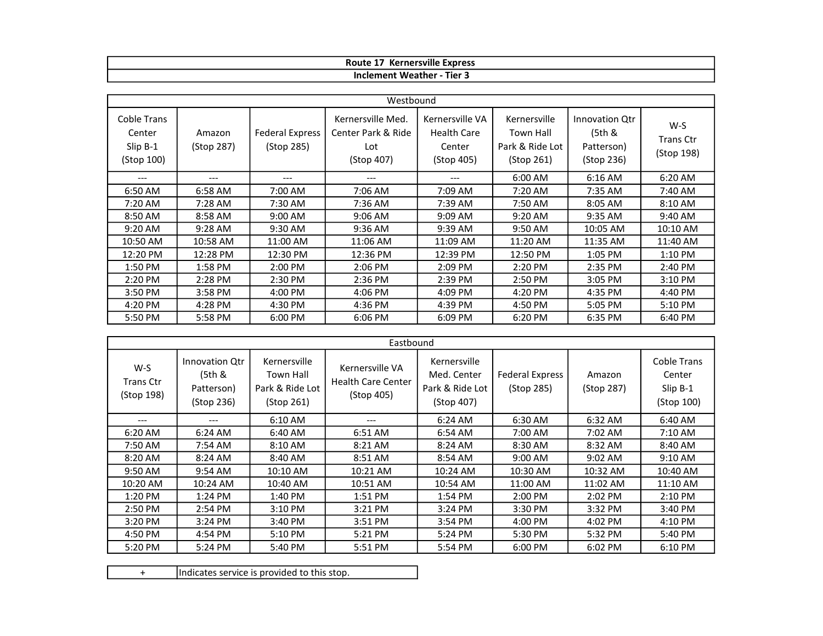| $\cdots$<br>Kernersville<br>Route<br><b>Express</b> |
|-----------------------------------------------------|
| Tier 3<br>weather<br>Inclement                      |

| Westbound                                       |                      |                                      |                                                              |                                                               |                                                            |                                                      |                                         |
|-------------------------------------------------|----------------------|--------------------------------------|--------------------------------------------------------------|---------------------------------------------------------------|------------------------------------------------------------|------------------------------------------------------|-----------------------------------------|
| Coble Trans<br>Center<br>Slip B-1<br>(Stop 100) | Amazon<br>(Stop 287) | <b>Federal Express</b><br>(Stop 285) | Kernersville Med.<br>Center Park & Ride<br>Lot<br>(Stop 407) | Kernersville VA<br><b>Health Care</b><br>Center<br>(Stop 405) | Kernersville<br>Town Hall<br>Park & Ride Lot<br>(Stop 261) | Innovation Qtr<br>(5th &<br>Patterson)<br>(Stop 236) | $W-S$<br><b>Trans Ctr</b><br>(Stop 198) |
| $---$                                           | $---$                | ---                                  | ---                                                          | ---                                                           | 6:00 AM                                                    | $6:16$ AM                                            | 6:20 AM                                 |
| 6:50 AM                                         | 6:58 AM              | 7:00 AM                              | 7:06 AM                                                      | 7:09 AM                                                       | 7:20 AM                                                    | 7:35 AM                                              | 7:40 AM                                 |
| 7:20 AM                                         | 7:28 AM              | 7:30 AM                              | 7:36 AM                                                      | 7:39 AM                                                       | 7:50 AM                                                    | 8:05 AM                                              | 8:10 AM                                 |
| 8:50 AM                                         | 8:58 AM              | 9:00 AM                              | $9:06$ AM                                                    | 9:09 AM                                                       | 9:20 AM                                                    | 9:35 AM                                              | 9:40 AM                                 |
| $9:20$ AM                                       | 9:28 AM              | 9:30 AM                              | 9:36 AM                                                      | 9:39 AM                                                       | 9:50 AM                                                    | 10:05 AM                                             | 10:10 AM                                |
| 10:50 AM                                        | 10:58 AM             | 11:00 AM                             | 11:06 AM                                                     | 11:09 AM                                                      | 11:20 AM                                                   | 11:35 AM                                             | 11:40 AM                                |
| 12:20 PM                                        | 12:28 PM             | 12:30 PM                             | 12:36 PM                                                     | 12:39 PM                                                      | 12:50 PM                                                   | 1:05 PM                                              | 1:10 PM                                 |
| 1:50 PM                                         | 1:58 PM              | $2:00$ PM                            | 2:06 PM                                                      | 2:09 PM                                                       | $2:20$ PM                                                  | 2:35 PM                                              | 2:40 PM                                 |
| 2:20 PM                                         | 2:28 PM              | 2:30 PM                              | 2:36 PM                                                      | 2:39 PM                                                       | 2:50 PM                                                    | 3:05 PM                                              | 3:10 PM                                 |
| 3:50 PM                                         | 3:58 PM              | 4:00 PM                              | 4:06 PM                                                      | 4:09 PM                                                       | 4:20 PM                                                    | 4:35 PM                                              | 4:40 PM                                 |
| 4:20 PM                                         | 4:28 PM              | 4:30 PM                              | 4:36 PM                                                      | 4:39 PM                                                       | 4:50 PM                                                    | 5:05 PM                                              | 5:10 PM                                 |
| 5:50 PM                                         | 5:58 PM              | 6:00 PM                              | 6:06 PM                                                      | 6:09 PM                                                       | 6:20 PM                                                    | 6:35 PM                                              | 6:40 PM                                 |

| Eastbound                             |                                                      |                                                            |                                                            |                                                              |                                      |                      |                                                        |
|---------------------------------------|------------------------------------------------------|------------------------------------------------------------|------------------------------------------------------------|--------------------------------------------------------------|--------------------------------------|----------------------|--------------------------------------------------------|
| W-S<br><b>Trans Ctr</b><br>(Stop 198) | Innovation Qtr<br>(5th &<br>Patterson)<br>(Stop 236) | Kernersville<br>Town Hall<br>Park & Ride Lot<br>(Stop 261) | Kernersville VA<br><b>Health Care Center</b><br>(Stop 405) | Kernersville<br>Med. Center<br>Park & Ride Lot<br>(Stop 407) | <b>Federal Express</b><br>(Stop 285) | Amazon<br>(Stop 287) | <b>Coble Trans</b><br>Center<br>Slip B-1<br>(Stop 100) |
| ---                                   | ---                                                  | 6:10 AM                                                    | ---                                                        | 6:24 AM                                                      | 6:30 AM                              | 6:32 AM              | 6:40 AM                                                |
| 6:20 AM                               | $6:24$ AM                                            | 6:40 AM                                                    | 6:51 AM                                                    | 6:54 AM                                                      | 7:00 AM                              | 7:02 AM              | $7:10$ AM                                              |
| 7:50 AM                               | 7:54 AM                                              | 8:10 AM                                                    | 8:21 AM                                                    | 8:24 AM                                                      | 8:30 AM                              | 8:32 AM              | 8:40 AM                                                |
| 8:20 AM                               | 8:24 AM                                              | 8:40 AM                                                    | 8:51 AM                                                    | 8:54 AM                                                      | 9:00 AM                              | 9:02 AM              | 9:10 AM                                                |
| 9:50 AM                               | 9:54 AM                                              | 10:10 AM                                                   | 10:21 AM                                                   | 10:24 AM                                                     | 10:30 AM                             | 10:32 AM             | 10:40 AM                                               |
| 10:20 AM                              | 10:24 AM                                             | 10:40 AM                                                   | 10:51 AM                                                   | 10:54 AM                                                     | 11:00 AM                             | 11:02 AM             | 11:10 AM                                               |
| 1:20 PM                               | 1:24 PM                                              | 1:40 PM                                                    | 1:51 PM                                                    | 1:54 PM                                                      | $2:00$ PM                            | 2:02 PM              | 2:10 PM                                                |
| 2:50 PM                               | 2:54 PM                                              | $3:10$ PM                                                  | 3:21 PM                                                    | 3:24 PM                                                      | 3:30 PM                              | 3:32 PM              | 3:40 PM                                                |
| 3:20 PM                               | $3:24$ PM                                            | 3:40 PM                                                    | 3:51 PM                                                    | 3:54 PM                                                      | 4:00 PM                              | 4:02 PM              | 4:10 PM                                                |
| 4:50 PM                               | 4:54 PM                                              | 5:10 PM                                                    | 5:21 PM                                                    | 5:24 PM                                                      | 5:30 PM                              | 5:32 PM              | 5:40 PM                                                |
| 5:20 PM                               | 5:24 PM                                              | 5:40 PM                                                    | 5:51 PM                                                    | 5:54 PM                                                      | 6:00 PM                              | 6:02 PM              | 6:10 PM                                                |

+ Indicates service is provided to this stop.